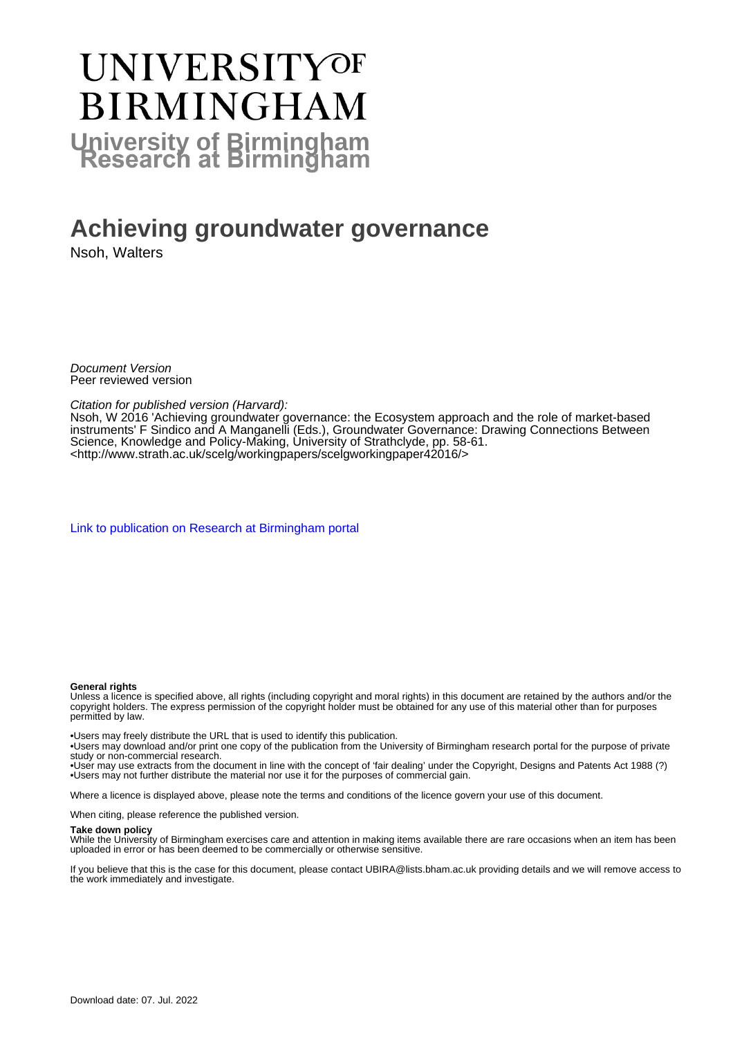# UNIVERSITYOF **BIRMINGHAM University of Birmingham**

## **Achieving groundwater governance**

Nsoh, Walters

Document Version Peer reviewed version

Citation for published version (Harvard):

Nsoh, W 2016 'Achieving groundwater governance: the Ecosystem approach and the role of market-based instruments' F Sindico and A Manganelli (Eds.), Groundwater Governance: Drawing Connections Between Science, Knowledge and Policy-Making, University of Strathclyde, pp. 58-61. <[http://www.strath.ac.uk/scelg/workingpapers/scelgworkingpaper42016/>](http://www.strath.ac.uk/scelg/workingpapers/scelgworkingpaper42016/)

[Link to publication on Research at Birmingham portal](https://birmingham.elsevierpure.com/en/publications/5f662810-f5f1-40ad-b9d2-ef71c9c8679c)

#### **General rights**

Unless a licence is specified above, all rights (including copyright and moral rights) in this document are retained by the authors and/or the copyright holders. The express permission of the copyright holder must be obtained for any use of this material other than for purposes permitted by law.

• Users may freely distribute the URL that is used to identify this publication.

• Users may download and/or print one copy of the publication from the University of Birmingham research portal for the purpose of private study or non-commercial research.

• User may use extracts from the document in line with the concept of 'fair dealing' under the Copyright, Designs and Patents Act 1988 (?) • Users may not further distribute the material nor use it for the purposes of commercial gain.

Where a licence is displayed above, please note the terms and conditions of the licence govern your use of this document.

When citing, please reference the published version.

#### **Take down policy**

While the University of Birmingham exercises care and attention in making items available there are rare occasions when an item has been uploaded in error or has been deemed to be commercially or otherwise sensitive.

If you believe that this is the case for this document, please contact UBIRA@lists.bham.ac.uk providing details and we will remove access to the work immediately and investigate.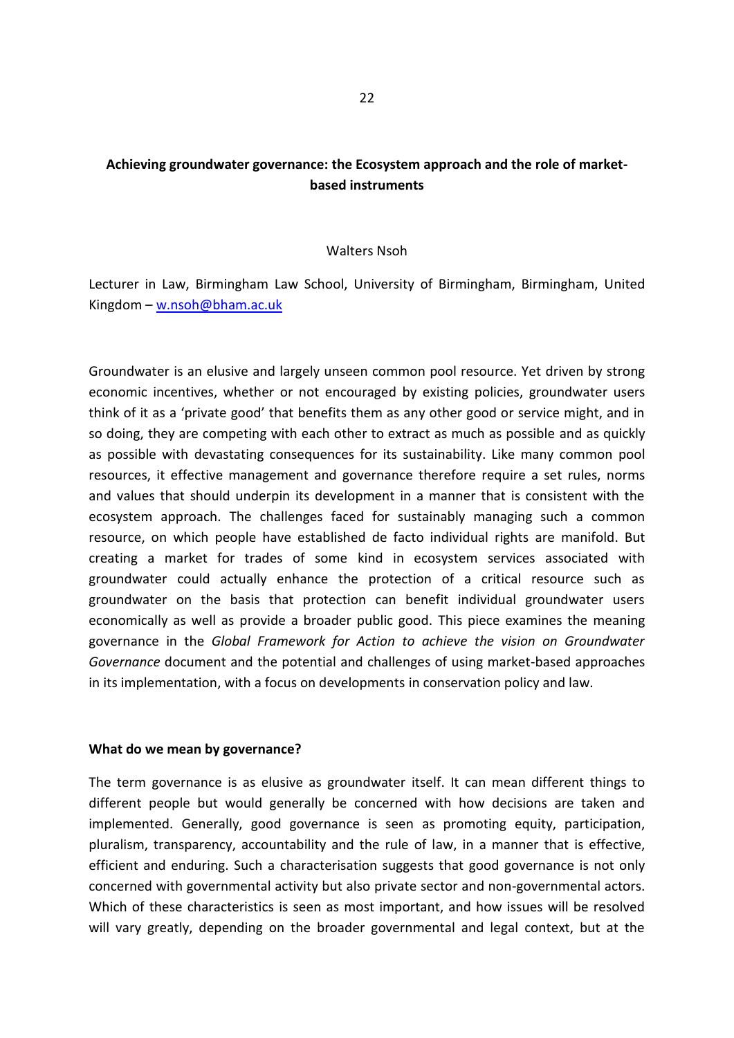## **Achieving groundwater governance: the Ecosystem approach and the role of marketbased instruments**

#### Walters Nsoh

Lecturer in Law, Birmingham Law School, University of Birmingham, Birmingham, United Kingdom – [w.nsoh@bham.ac.uk](mailto:w.nsoh@bham.ac.uk)

Groundwater is an elusive and largely unseen common pool resource. Yet driven by strong economic incentives, whether or not encouraged by existing policies, groundwater users think of it as a 'private good' that benefits them as any other good or service might, and in so doing, they are competing with each other to extract as much as possible and as quickly as possible with devastating consequences for its sustainability. Like many common pool resources, it effective management and governance therefore require a set rules, norms and values that should underpin its development in a manner that is consistent with the ecosystem approach. The challenges faced for sustainably managing such a common resource, on which people have established de facto individual rights are manifold. But creating a market for trades of some kind in ecosystem services associated with groundwater could actually enhance the protection of a critical resource such as groundwater on the basis that protection can benefit individual groundwater users economically as well as provide a broader public good. This piece examines the meaning governance in the *Global Framework for Action to achieve the vision on Groundwater Governance* document and the potential and challenges of using market-based approaches in its implementation, with a focus on developments in conservation policy and law.

#### **What do we mean by governance?**

The term governance is as elusive as groundwater itself. It can mean different things to different people but would generally be concerned with how decisions are taken and implemented. Generally, good governance is seen as promoting equity, participation, pluralism, transparency, accountability and the rule of law, in a manner that is effective, efficient and enduring. Such a characterisation suggests that good governance is not only concerned with governmental activity but also private sector and non-governmental actors. Which of these characteristics is seen as most important, and how issues will be resolved will vary greatly, depending on the broader governmental and legal context, but at the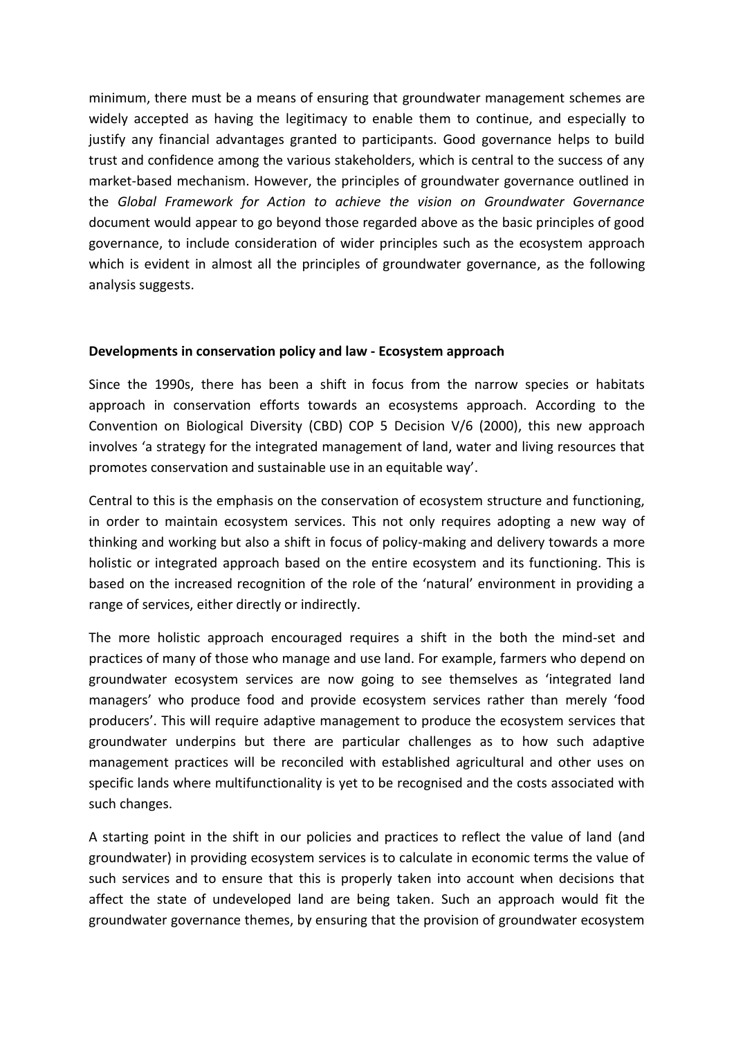minimum, there must be a means of ensuring that groundwater management schemes are widely accepted as having the legitimacy to enable them to continue, and especially to justify any financial advantages granted to participants. Good governance helps to build trust and confidence among the various stakeholders, which is central to the success of any market-based mechanism. However, the principles of groundwater governance outlined in the *Global Framework for Action to achieve the vision on Groundwater Governance* document would appear to go beyond those regarded above as the basic principles of good governance, to include consideration of wider principles such as the ecosystem approach which is evident in almost all the principles of groundwater governance, as the following analysis suggests.

## **Developments in conservation policy and law - Ecosystem approach**

Since the 1990s, there has been a shift in focus from the narrow species or habitats approach in conservation efforts towards an ecosystems approach. According to the Convention on Biological Diversity (CBD) COP 5 Decision V/6 (2000), this new approach involves 'a strategy for the integrated management of land, water and living resources that promotes conservation and sustainable use in an equitable way'.

Central to this is the emphasis on the conservation of ecosystem structure and functioning, in order to maintain ecosystem services. This not only requires adopting a new way of thinking and working but also a shift in focus of policy-making and delivery towards a more holistic or integrated approach based on the entire ecosystem and its functioning. This is based on the increased recognition of the role of the 'natural' environment in providing a range of services, either directly or indirectly.

The more holistic approach encouraged requires a shift in the both the mind-set and practices of many of those who manage and use land. For example, farmers who depend on groundwater ecosystem services are now going to see themselves as 'integrated land managers' who produce food and provide ecosystem services rather than merely 'food producers'. This will require adaptive management to produce the ecosystem services that groundwater underpins but there are particular challenges as to how such adaptive management practices will be reconciled with established agricultural and other uses on specific lands where multifunctionality is yet to be recognised and the costs associated with such changes.

A starting point in the shift in our policies and practices to reflect the value of land (and groundwater) in providing ecosystem services is to calculate in economic terms the value of such services and to ensure that this is properly taken into account when decisions that affect the state of undeveloped land are being taken. Such an approach would fit the groundwater governance themes, by ensuring that the provision of groundwater ecosystem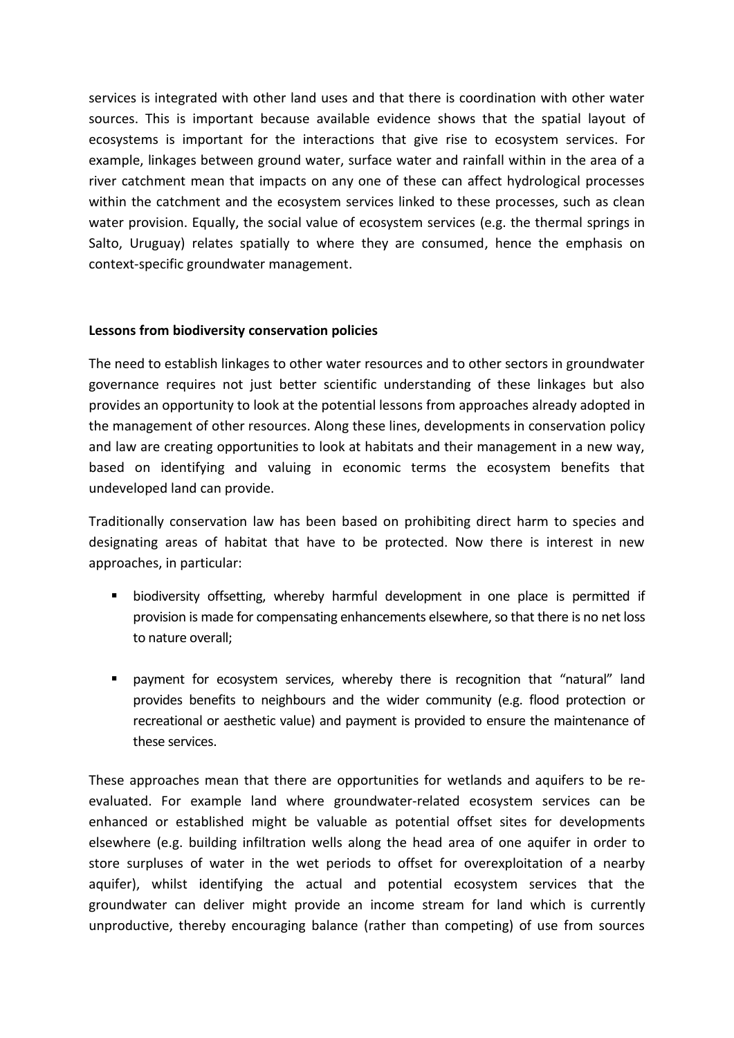services is integrated with other land uses and that there is coordination with other water sources. This is important because available evidence shows that the spatial layout of ecosystems is important for the interactions that give rise to ecosystem services. For example, linkages between ground water, surface water and rainfall within in the area of a river catchment mean that impacts on any one of these can affect hydrological processes within the catchment and the ecosystem services linked to these processes, such as clean water provision. Equally, the social value of ecosystem services (e.g. the thermal springs in Salto, Uruguay) relates spatially to where they are consumed, hence the emphasis on context-specific groundwater management.

### **Lessons from biodiversity conservation policies**

The need to establish linkages to other water resources and to other sectors in groundwater governance requires not just better scientific understanding of these linkages but also provides an opportunity to look at the potential lessons from approaches already adopted in the management of other resources. Along these lines, developments in conservation policy and law are creating opportunities to look at habitats and their management in a new way, based on identifying and valuing in economic terms the ecosystem benefits that undeveloped land can provide.

Traditionally conservation law has been based on prohibiting direct harm to species and designating areas of habitat that have to be protected. Now there is interest in new approaches, in particular:

- biodiversity offsetting, whereby harmful development in one place is permitted if provision is made for compensating enhancements elsewhere, so that there is no net loss to nature overall;
- payment for ecosystem services, whereby there is recognition that "natural" land provides benefits to neighbours and the wider community (e.g. flood protection or recreational or aesthetic value) and payment is provided to ensure the maintenance of these services.

These approaches mean that there are opportunities for wetlands and aquifers to be reevaluated. For example land where groundwater-related ecosystem services can be enhanced or established might be valuable as potential offset sites for developments elsewhere (e.g. building infiltration wells along the head area of one aquifer in order to store surpluses of water in the wet periods to offset for overexploitation of a nearby aquifer), whilst identifying the actual and potential ecosystem services that the groundwater can deliver might provide an income stream for land which is currently unproductive, thereby encouraging balance (rather than competing) of use from sources